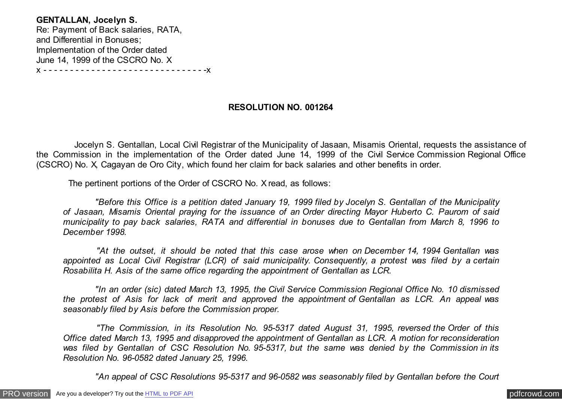**GENTALLAN, Jocelyn S.** Re: Payment of Back salaries, RATA, and Differential in Bonuses; Implementation of the Order dated June 14, 1999 of the CSCRO No. X x - - - - - - - - - - - - - - - - - - - - - - - - - - - - - - -x

# **RESOLUTION NO. 001264**

 Jocelyn S. Gentallan, Local Civil Registrar of the Municipality of Jasaan, Misamis Oriental, requests the assistance of the Commission in the implementation of the Order dated June 14, 1999 of the Civil Service Commission Regional Office (CSCRO) No. X, Cagayan de Oro City, which found her claim for back salaries and other benefits in order.

The pertinent portions of the Order of CSCRO No. X read, as follows:

 *"Before this Office is a petition dated January 19, 1999 filed by Jocelyn S. Gentallan of the Municipality of Jasaan, Misamis Oriental praying for the issuance of an Order directing Mayor Huberto C. Paurom of said municipality to pay back salaries, RATA and differential in bonuses due to Gentallan from March 8, 1996 to December 1998.*

 *"At the outset, it should be noted that this case arose when on December 14, 1994 Gentallan was appointed as Local Civil Registrar (LCR) of said municipality. Consequently, a protest was filed by a certain Rosabilita H. Asis of the same office regarding the appointment of Gentallan as LCR.*

 *"In an order (sic) dated March 13, 1995, the Civil Service Commission Regional Office No. 10 dismissed the protest of Asis for lack of merit and approved the appointment of Gentallan as LCR. An appeal was seasonably filed by Asis before the Commission proper.*

 *"The Commission, in its Resolution No. 95-5317 dated August 31, 1995, reversed the Order of this Office dated March 13, 1995 and disapproved the appointment of Gentallan as LCR. A motion for reconsideration was filed by Gentallan of CSC Resolution No. 95-5317, but the same was denied by the Commission in its Resolution No. 96-0582 dated January 25, 1996.*

 *"An appeal of CSC Resolutions 95-5317 and 96-0582 was seasonably filed by Gentallan before the Court*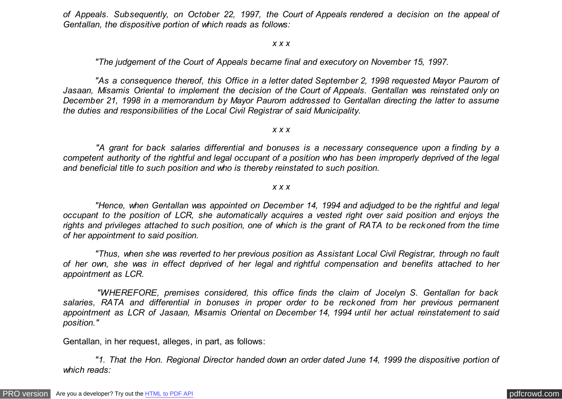*of Appeals. Subsequently, on October 22, 1997, the Court of Appeals rendered a decision on the appeal of Gentallan, the dispositive portion of which reads as follows:*

*x x x*

 *"The judgement of the Court of Appeals became final and executory on November 15, 1997.*

 *"As a consequence thereof, this Office in a letter dated September 2, 1998 requested Mayor Paurom of Jasaan, Misamis Oriental to implement the decision of the Court of Appeals. Gentallan was reinstated only on December 21, 1998 in a memorandum by Mayor Paurom addressed to Gentallan directing the latter to assume the duties and responsibilities of the Local Civil Registrar of said Municipality.*

*x x x*

 *"A grant for back salaries differential and bonuses is a necessary consequence upon a finding by a competent authority of the rightful and legal occupant of a position who has been improperly deprived of the legal and beneficial title to such position and who is thereby reinstated to such position.*

*x x x*

 *"Hence, when Gentallan was appointed on December 14, 1994 and adjudged to be the rightful and legal occupant to the position of LCR, she automatically acquires a vested right over said position and enjoys the rights and privileges attached to such position, one of which is the grant of RATA to be reckoned from the time of her appointment to said position.*

 *"Thus, when she was reverted to her previous position as Assistant Local Civil Registrar, through no fault of her own, she was in effect deprived of her legal and rightful compensation and benefits attached to her appointment as LCR.*

 *"WHEREFORE, premises considered, this office finds the claim of Jocelyn S. Gentallan for back salaries, RATA and differential in bonuses in proper order to be reckoned from her previous permanent appointment as LCR of Jasaan, Misamis Oriental on December 14, 1994 until her actual reinstatement to said position."*

Gentallan, in her request, alleges, in part, as follows:

 *"1. That the Hon. Regional Director handed down an order dated June 14, 1999 the dispositive portion of which reads:*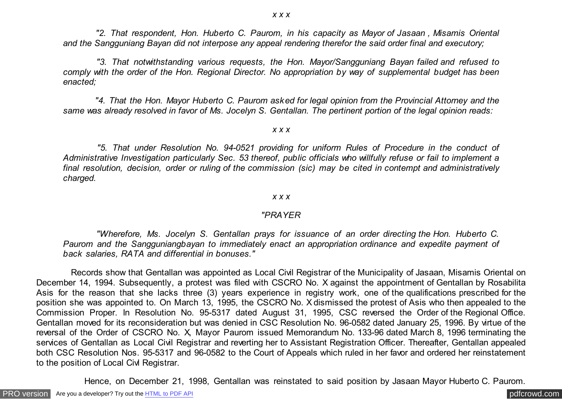*x x x*

 *"2. That respondent, Hon. Huberto C. Paurom, in his capacity as Mayor of Jasaan , Misamis Oriental and the Sangguniang Bayan did not interpose any appeal rendering therefor the said order final and executory;*

 *"3. That notwithstanding various requests, the Hon. Mayor/Sangguniang Bayan failed and refused to comply with the order of the Hon. Regional Director. No appropriation by way of supplemental budget has been enacted;*

 *"4. That the Hon. Mayor Huberto C. Paurom asked for legal opinion from the Provincial Attorney and the same was already resolved in favor of Ms. Jocelyn S. Gentallan. The pertinent portion of the legal opinion reads:*

#### *x x x*

 *"5. That under Resolution No. 94-0521 providing for uniform Rules of Procedure in the conduct of Administrative Investigation particularly Sec. 53 thereof, public officials who willfully refuse or fail to implement a final resolution, decision, order or ruling of the commission (sic) may be cited in contempt and administratively charged.*

#### *x x x*

### *"PRAYER*

 *"Wherefore, Ms. Jocelyn S. Gentallan prays for issuance of an order directing the Hon. Huberto C. Paurom and the Sangguniangbayan to immediately enact an appropriation ordinance and expedite payment of back salaries, RATA and differential in bonuses."*

 Records show that Gentallan was appointed as Local Civil Registrar of the Municipality of Jasaan, Misamis Oriental on December 14, 1994. Subsequently, a protest was filed with CSCRO No. X against the appointment of Gentallan by Rosabilita Asis for the reason that she lacks three (3) years experience in registry work, one of the qualifications prescribed for the position she was appointed to. On March 13, 1995, the CSCRO No. X dismissed the protest of Asis who then appealed to the Commission Proper. In Resolution No. 95-5317 dated August 31, 1995, CSC reversed the Order of the Regional Office. Gentallan moved for its reconsideration but was denied in CSC Resolution No. 96-0582 dated January 25, 1996. By virtue of the reversal of the Order of CSCRO No. X, Mayor Paurom issued Memorandum No. 133-96 dated March 8, 1996 terminating the services of Gentallan as Local Civil Registrar and reverting her to Assistant Registration Officer. Thereafter, Gentallan appealed both CSC Resolution Nos. 95-5317 and 96-0582 to the Court of Appeals which ruled in her favor and ordered her reinstatement to the position of Local Civl Registrar.

Hence, on December 21, 1998, Gentallan was reinstated to said position by Jasaan Mayor Huberto C. Paurom.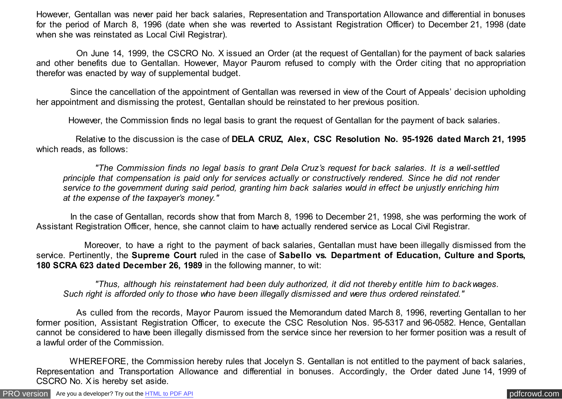However, Gentallan was never paid her back salaries, Representation and Transportation Allowance and differential in bonuses for the period of March 8, 1996 (date when she was reverted to Assistant Registration Officer) to December 21, 1998 (date when she was reinstated as Local Civil Registrar).

 On June 14, 1999, the CSCRO No. X issued an Order (at the request of Gentallan) for the payment of back salaries and other benefits due to Gentallan. However, Mayor Paurom refused to comply with the Order citing that no appropriation therefor was enacted by way of supplemental budget.

 Since the cancellation of the appointment of Gentallan was reversed in view of the Court of Appeals' decision upholding her appointment and dismissing the protest, Gentallan should be reinstated to her previous position.

However, the Commission finds no legal basis to grant the request of Gentallan for the payment of back salaries.

 Relative to the discussion is the case of **DELA CRUZ, Alex, CSC Resolution No. 95-1926 dated March 21, 1995** which reads, as follows:

 *"The Commission finds no legal basis to grant Dela Cruz's request for back salaries. It is a well-settled principle that compensation is paid only for services actually or constructively rendered. Since he did not render service to the government during said period, granting him back salaries would in effect be unjustly enriching him at the expense of the taxpayer's money."*

In the case of Gentallan, records show that from March 8, 1996 to December 21, 1998, she was performing the work of Assistant Registration Officer, hence, she cannot claim to have actually rendered service as Local Civil Registrar.

 Moreover, to have a right to the payment of back salaries, Gentallan must have been illegally dismissed from the service. Pertinently, the **Supreme Court** ruled in the case of **Sabello vs. Department of Education, Culture and Sports, 180 SCRA 623 dated December 26, 1989** in the following manner, to wit:

 *"Thus, although his reinstatement had been duly authorized, it did not thereby entitle him to backwages. Such right is afforded only to those who have been illegally dismissed and were thus ordered reinstated."*

 As culled from the records, Mayor Paurom issued the Memorandum dated March 8, 1996, reverting Gentallan to her former position, Assistant Registration Officer, to execute the CSC Resolution Nos. 95-5317 and 96-0582. Hence, Gentallan cannot be considered to have been illegally dismissed from the service since her reversion to her former position was a result of a lawful order of the Commission.

 WHEREFORE, the Commission hereby rules that Jocelyn S. Gentallan is not entitled to the payment of back salaries, Representation and Transportation Allowance and differential in bonuses. Accordingly, the Order dated June 14, 1999 of CSCRO No. X is hereby set aside.